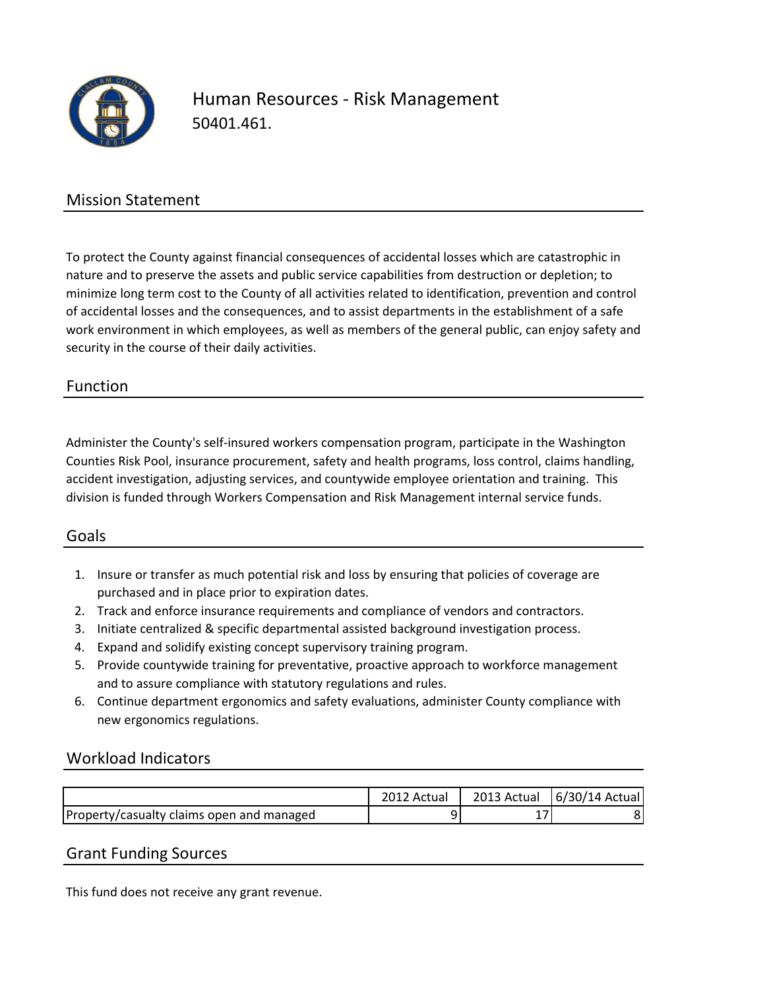

# Human Resources - Risk Management 50401.461.

## Mission Statement

To protect the County against financial consequences of accidental losses which are catastrophic in nature and to preserve the assets and public service capabilities from destruction or depletion; to minimize long term cost to the County of all activities related to identification, prevention and control of accidental losses and the consequences, and to assist departments in the establishment of a safe work environment in which employees, as well as members of the general public, can enjoy safety and security in the course of their daily activities.

### Function

Administer the County's self-insured workers compensation program, participate in the Washington Counties Risk Pool, insurance procurement, safety and health programs, loss control, claims handling, accident investigation, adjusting services, and countywide employee orientation and training. This division is funded through Workers Compensation and Risk Management internal service funds.

#### Goals

- 1. Insure or transfer as much potential risk and loss by ensuring that policies of coverage are purchased and in place prior to expiration dates.
- 2. Track and enforce insurance requirements and compliance of vendors and contractors.
- 3. Initiate centralized & specific departmental assisted background investigation process.
- 4. Expand and solidify existing concept supervisory training program.
- 5. Provide countywide training for preventative, proactive approach to workforce management and to assure compliance with statutory regulations and rules.
- 6. Continue department ergonomics and safety evaluations, administer County compliance with new ergonomics regulations.

#### Workload Indicators

|                                                  | 2012 Actual | 2013 Actual | $ 6/30/14$ Actual |
|--------------------------------------------------|-------------|-------------|-------------------|
| <b>Property/casualty claims open and managed</b> |             |             |                   |

#### Grant Funding Sources

This fund does not receive any grant revenue.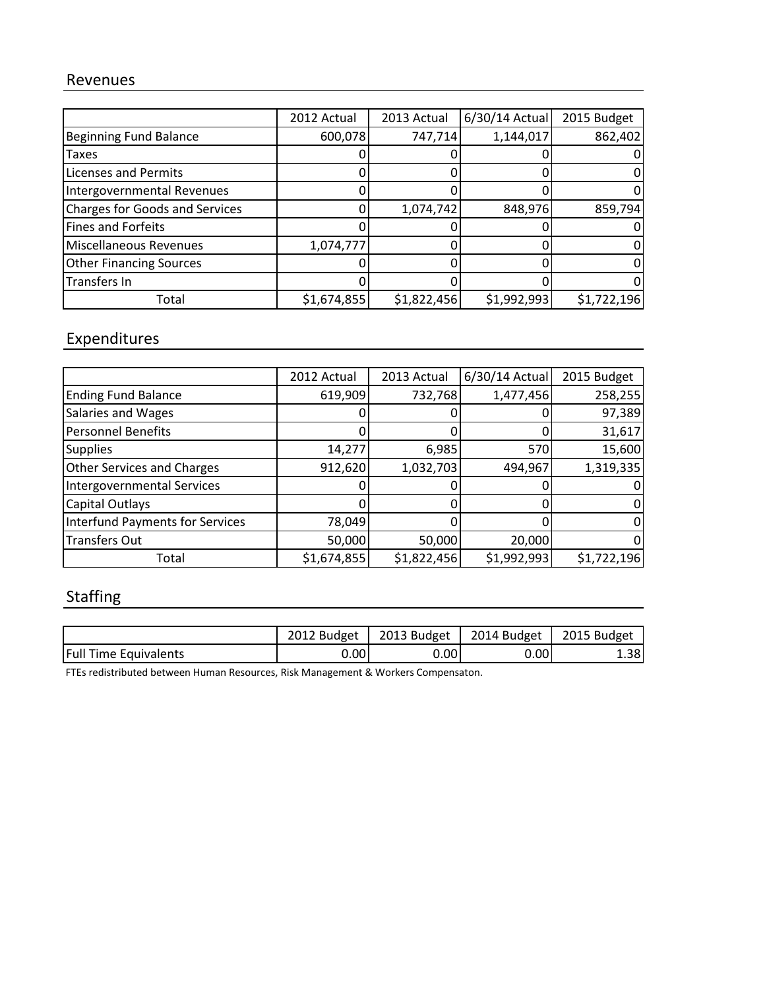### Revenues

|                                | 2012 Actual | 2013 Actual | 6/30/14 Actual | 2015 Budget |
|--------------------------------|-------------|-------------|----------------|-------------|
| <b>Beginning Fund Balance</b>  | 600,078     | 747,714     | 1,144,017      | 862,402     |
| <b>Taxes</b>                   |             |             |                |             |
| <b>Licenses and Permits</b>    |             |             |                |             |
| Intergovernmental Revenues     |             |             |                |             |
| Charges for Goods and Services |             | 1,074,742   | 848,976        | 859,794     |
| Fines and Forfeits             |             |             |                |             |
| Miscellaneous Revenues         | 1,074,777   |             |                |             |
| <b>Other Financing Sources</b> |             |             |                |             |
| Transfers In                   |             |             |                |             |
| Total                          | \$1,674,855 | \$1,822,456 | \$1,992,993    | \$1,722,196 |

# **Expenditures**

|                                        | 2012 Actual | 2013 Actual | 6/30/14 Actual | 2015 Budget |
|----------------------------------------|-------------|-------------|----------------|-------------|
| <b>Ending Fund Balance</b>             | 619,909     | 732,768     | 1,477,456      | 258,255     |
| <b>Salaries and Wages</b>              |             |             |                | 97,389      |
| Personnel Benefits                     |             |             |                | 31,617      |
| <b>Supplies</b>                        | 14,277      | 6,985       | 570            | 15,600      |
| <b>Other Services and Charges</b>      | 912,620     | 1,032,703   | 494,967        | 1,319,335   |
| <b>Intergovernmental Services</b>      |             |             |                |             |
| Capital Outlays                        |             |             |                |             |
| <b>Interfund Payments for Services</b> | 78,049      |             |                |             |
| <b>Transfers Out</b>                   | 50,000      | 50,000      | 20,000         |             |
| Total                                  | \$1,674,855 | \$1,822,456 | \$1,992,993    | \$1,722,196 |

# **Staffing**

|                              | 2012 Budget | 2013 Budget $ $ | 2014 Budget   2015 Budget |       |
|------------------------------|-------------|-----------------|---------------------------|-------|
| <b>Full Time Equivalents</b> | 0.00        | 0.00I           | 0.00                      | ا88.∡ |

FTEs redistributed between Human Resources, Risk Management & Workers Compensaton.